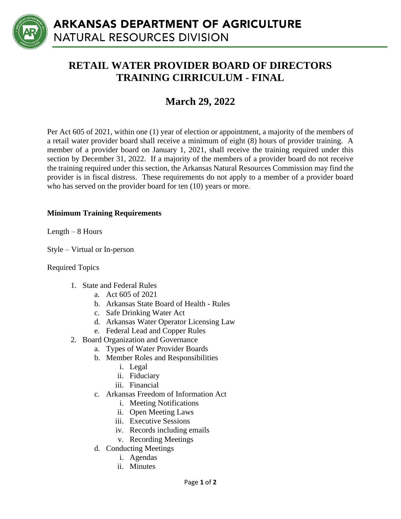

## **RETAIL WATER PROVIDER BOARD OF DIRECTORS TRAINING CIRRICULUM - FINAL**

## **March 29, 2022**

Per Act 605 of 2021, within one (1) year of election or appointment, a majority of the members of a retail water provider board shall receive a minimum of eight (8) hours of provider training. A member of a provider board on January 1, 2021, shall receive the training required under this section by December 31, 2022. If a majority of the members of a provider board do not receive the training required under this section, the Arkansas Natural Resources Commission may find the provider is in fiscal distress. These requirements do not apply to a member of a provider board who has served on the provider board for ten (10) years or more.

## **Minimum Training Requirements**

Length – 8 Hours

Style – Virtual or In-person

Required Topics

- 1. State and Federal Rules
	- a. Act 605 of 2021
	- b. Arkansas State Board of Health Rules
	- c. Safe Drinking Water Act
	- d. Arkansas Water Operator Licensing Law
	- e. Federal Lead and Copper Rules
- 2. Board Organization and Governance
	- a. Types of Water Provider Boards
	- b. Member Roles and Responsibilities
		- i. Legal
		- ii. Fiduciary
		- iii. Financial
	- c. Arkansas Freedom of Information Act
		- i. Meeting Notifications
		- ii. Open Meeting Laws
		- iii. Executive Sessions
		- iv. Records including emails
		- v. Recording Meetings
	- d. Conducting Meetings
		- i. Agendas
		- ii. Minutes